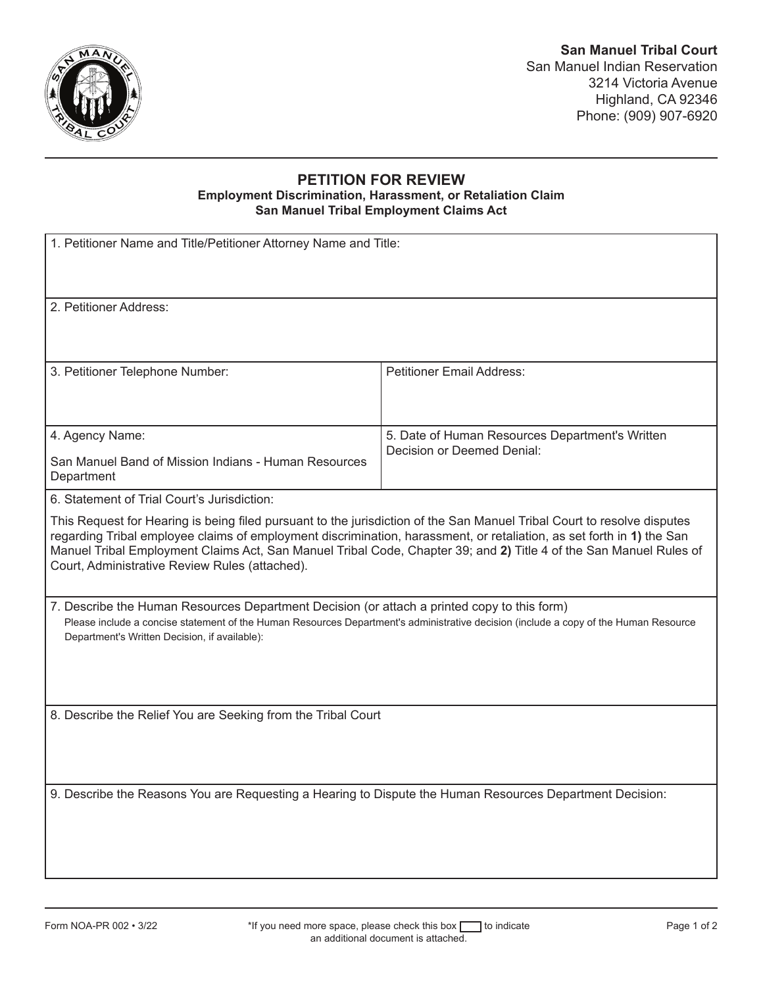

## **PETITION FOR REVIEW Employment Discrimination, Harassment, or Retaliation Claim**

**San Manuel Tribal Employment Claims Act**

| 1. Petitioner Name and Title/Petitioner Attorney Name and Title:                                                                                                                                                                                                                                                                                                                                                         |                                                 |
|--------------------------------------------------------------------------------------------------------------------------------------------------------------------------------------------------------------------------------------------------------------------------------------------------------------------------------------------------------------------------------------------------------------------------|-------------------------------------------------|
| 2. Petitioner Address:                                                                                                                                                                                                                                                                                                                                                                                                   |                                                 |
| 3. Petitioner Telephone Number:                                                                                                                                                                                                                                                                                                                                                                                          | <b>Petitioner Email Address:</b>                |
| 4. Agency Name:                                                                                                                                                                                                                                                                                                                                                                                                          | 5. Date of Human Resources Department's Written |
| San Manuel Band of Mission Indians - Human Resources<br>Department                                                                                                                                                                                                                                                                                                                                                       | Decision or Deemed Denial:                      |
| 6. Statement of Trial Court's Jurisdiction:                                                                                                                                                                                                                                                                                                                                                                              |                                                 |
| This Request for Hearing is being filed pursuant to the jurisdiction of the San Manuel Tribal Court to resolve disputes<br>regarding Tribal employee claims of employment discrimination, harassment, or retaliation, as set forth in 1) the San<br>Manuel Tribal Employment Claims Act, San Manuel Tribal Code, Chapter 39; and 2) Title 4 of the San Manuel Rules of<br>Court, Administrative Review Rules (attached). |                                                 |
| 7. Describe the Human Resources Department Decision (or attach a printed copy to this form)<br>Please include a concise statement of the Human Resources Department's administrative decision (include a copy of the Human Resource<br>Department's Written Decision, if available):                                                                                                                                     |                                                 |
| 8. Describe the Relief You are Seeking from the Tribal Court                                                                                                                                                                                                                                                                                                                                                             |                                                 |
| 9. Describe the Reasons You are Requesting a Hearing to Dispute the Human Resources Department Decision:                                                                                                                                                                                                                                                                                                                 |                                                 |